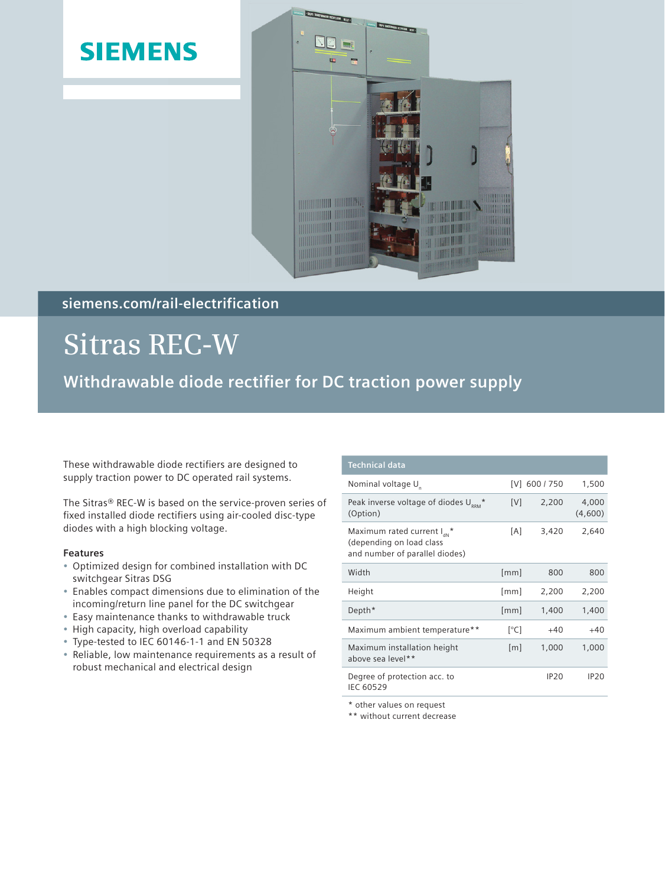### **SIEMENS**



### **siemens.com/rail-electrification**

# **Sitras REC-W**

**Withdrawable diode rectifier for DC traction power supply** 

These withdrawable diode rectifiers are designed to supply traction power to DC operated rail systems.

The Sitras® REC-W is based on the service-proven series of fixed installed diode rectifiers using air-cooled disc-type diodes with a high blocking voltage.

### **Features**

- Optimized design for combined installation with DC switchgear Sitras DSG
- Enables compact dimensions due to elimination of the incoming/return line panel for the DC switchgear
- Easy maintenance thanks to withdrawable truck
- High capacity, high overload capability
- Type-tested to IEC 60146-1-1 and EN 50328
- Reliable, low maintenance requirements as a result of robust mechanical and electrical design

| <b>Technical data</b>                                                                                            |      |               |                  |
|------------------------------------------------------------------------------------------------------------------|------|---------------|------------------|
| Nominal voltage U <sub>n</sub>                                                                                   |      | [V] 600 / 750 | 1,500            |
| Peak inverse voltage of diodes $U_{\text{\tiny RRM}}^*$<br>(Option)                                              | [V]  | 2,200         | 4,000<br>(4,600) |
| Maximum rated current $I_{\text{av}}$ <sup>*</sup><br>(depending on load class<br>and number of parallel diodes) | [A]  | 3,420         | 2,640            |
| Width                                                                                                            | [mm] | 800           | 800              |
| Height                                                                                                           | [mm] | 2,200         | 2,200            |
| Depth*                                                                                                           | [mm] | 1,400         | 1,400            |
| Maximum ambient temperature**                                                                                    | [°C] | $+40$         | $+40$            |
| Maximum installation height<br>above sea level**                                                                 | [m]  | 1,000         | 1,000            |
| Degree of protection acc. to<br><b>IEC 60529</b>                                                                 |      | <b>IP20</b>   | IP20             |

\* other values on request

\*\* without current decrease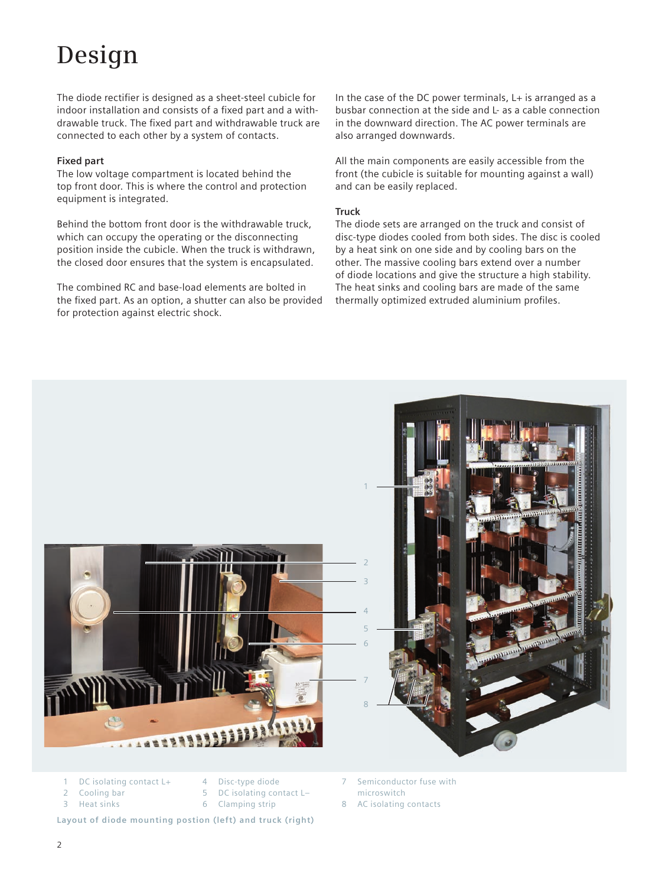# **Design**

The diode rectifier is designed as a sheet-steel cubicle for indoor installation and consists of a fixed part and a withdrawable truck. The fixed part and withdrawable truck are connected to each other by a system of contacts.

### **Fixed part**

The low voltage compartment is located behind the top front door. This is where the control and protection equipment is integrated.

Behind the bottom front door is the withdrawable truck, which can occupy the operating or the disconnecting position inside the cubicle. When the truck is withdrawn, the closed door ensures that the system is encapsulated.

The combined RC and base-load elements are bolted in the fixed part. As an option, a shutter can also be provided for protection against electric shock.

In the case of the DC power terminals, L+ is arranged as a busbar connection at the side and L- as a cable connection in the downward direction. The AC power terminals are also arranged downwards.

All the main components are easily accessible from the front (the cubicle is suitable for mounting against a wall) and can be easily replaced.

### **Truck**

The diode sets are arranged on the truck and consist of disc-type diodes cooled from both sides. The disc is cooled by a heat sink on one side and by cooling bars on the other. The massive cooling bars extend over a number of diode locations and give the structure a high stability. The heat sinks and cooling bars are made of the same thermally optimized extruded aluminium profiles.



- 1 DC isolating contact L+
- 4 Disc-type diode
- 2 Cooling bar 3 Heat sinks
- 5 DC isolating contact L–
	- 6 Clamping strip

**Layout of diode mounting postion (left) and truck (right)**

Semiconductor fuse with microswitch

8 AC isolating contacts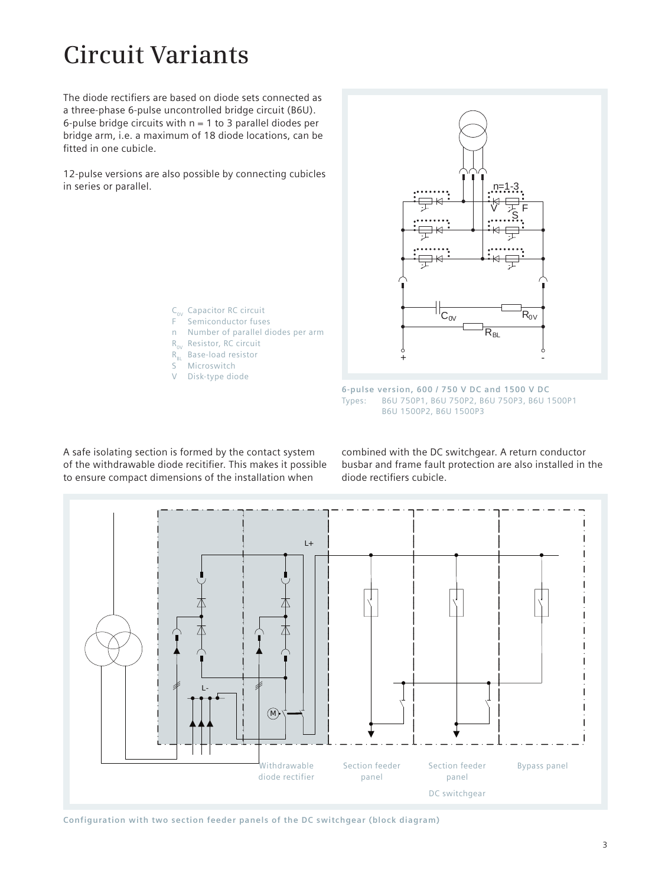### **Circuit Variants**

The diode rectifiers are based on diode sets connected as a three-phase 6-pulse uncontrolled bridge circuit (B6U). 6-pulse bridge circuits with  $n = 1$  to 3 parallel diodes per bridge arm, i.e. a maximum of 18 diode locations, can be fitted in one cubicle.

12-pulse versions are also possible by connecting cubicles in series or parallel.

> $C_{ov}$  Capacitor RC circuit F Semiconductor fuses n Number of parallel diodes per arm  $R_{ov}$  Resistor, RC circuit R<sub>BL</sub> Base-load resistor S Microswitch V Disk-type diode



**6-pulse version, 600 / 750 V DC and 1500 V DC** Types: B6U 750P1, B6U 750P2, B6U 750P3, B6U 1500P1 B6U 1500P2, B6U 1500P3

A safe isolating section is formed by the contact system of the withdrawable diode recitifier. This makes it possible to ensure compact dimensions of the installation when

 combined with the DC switchgear. A return conductor busbar and frame fault protection are also installed in the diode rectifiers cubicle.



**Configuration with two section feeder panels of the DC switchgear (block diagram)**